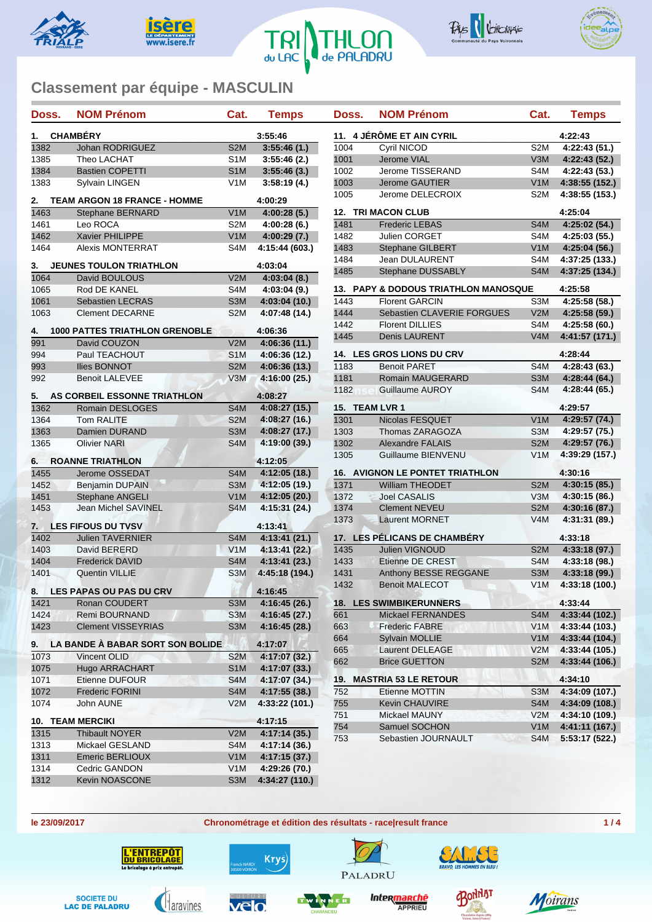









| <b>CHAMBÉRY</b><br>11. 4 JÉRÔME ET AIN CYRIL<br>3:55:46<br>4:22:43<br>1.<br>1382<br>4:22:43(51.)<br>Johan RODRIGUEZ<br>S <sub>2</sub> M<br>3:55:46(1)<br>1004<br><b>Cyril NICOD</b><br>S <sub>2</sub> M<br>1001<br>4:22:43(52.)<br>1385<br>Theo LACHAT<br>S <sub>1</sub> M<br>3:55:46(2.)<br>Jerome VIAL<br>V3M<br>1384<br>S <sub>1</sub> M<br>3:55:46(3)<br>Jerome TISSERAND<br>S4M<br>4:22:43 (53.)<br><b>Bastien COPETTI</b><br>1002<br>1003<br>V <sub>1</sub> M<br>4:38:55 (152.)<br>1383<br>Sylvain LINGEN<br>V <sub>1</sub> M<br>3:58:19(4.)<br><b>Jerome GAUTIER</b><br>S <sub>2</sub> M<br>4:38:55 (153.)<br>1005<br>Jerome DELECROIX<br><b>TEAM ARGON 18 FRANCE - HOMME</b><br>4:00:29<br>2.<br>1463<br><b>12. TRI MACON CLUB</b><br>4:25:04<br>V1M<br>4:00:28(5.)<br><b>Stephane BERNARD</b><br>S <sub>2</sub> M<br>1481<br>S4M<br>4:00:28(6.)<br><b>Frederic LEBAS</b><br>4:25:02(54.)<br>1461<br>Leo ROCA<br>1462<br>Xavier PHILIPPE<br>V1M<br>1482<br>S4M<br>4:00:29(7.)<br><b>Julien CORGET</b><br>4:25:03 (55.)<br>V <sub>1</sub> M<br>4:25:04(56.)<br>1464<br><b>Alexis MONTERRAT</b><br>S4M<br>4:15:44 (603.)<br>1483<br><b>Stephane GILBERT</b><br>1484<br>Jean DULAURENT<br>S4M<br>4:37:25 (133.)<br><b>JEUNES TOULON TRIATHLON</b><br>4:03:04<br>3.<br>1485<br>4:37:25 (134.)<br>Stephane DUSSABLY<br>S <sub>4</sub> M<br>1064<br>V2M<br>4:03:04(8.)<br>David BOULOUS<br>1065<br>S <sub>4</sub> M<br>4:03:04(9.)<br><b>13. PAPY &amp; DODOUS TRIATHLON MANOSQUE</b><br>4:25:58<br>Rod DE KANEL<br>4:25:58 (58.)<br>1061<br>S <sub>3</sub> M<br>4:03:04(10.)<br>1443<br><b>Florent GARCIN</b><br>S3M<br><b>Sebastien LECRAS</b><br>S <sub>2</sub> M<br>1444<br>V2M<br>1063<br><b>Clement DECARNE</b><br>4:07:48 (14.)<br>Sebastien CLAVERIE FORGUES<br>4:25:58 (59.)<br>S4M<br>4:25:58(60.)<br>1442<br><b>Florent DILLIES</b><br><b>1000 PATTES TRIATHLON GRENOBLE</b><br>4:06:36<br>4.<br>1445<br>V4M<br>4:41:57 (171.)<br><b>Denis LAURENT</b><br>991<br>V2M<br>4:06:36(11.)<br>David COUZON<br>4:28:44<br>994<br>S <sub>1</sub> M<br><b>14. LES GROS LIONS DU CRV</b><br>Paul TEACHOUT<br>4:06:36 (12.)<br>S <sub>2</sub> M<br>993<br><b>Ilies BONNOT</b><br>4:06:36(13)<br>1183<br><b>Benoit PARET</b><br>S4M<br>4:28:43(63)<br>992<br>1181<br>S <sub>3</sub> M<br>4:28:44 (64.)<br><b>Benoit LALEVEE</b><br>V3M<br>4:16:00 (25.)<br>Romain MAUGERARD<br>1182<br>Guillaume AUROY<br>S4M<br>4:28:44(65.)<br>4:08:27<br>AS CORBEIL ESSONNE TRIATHLON<br>5.<br>1362<br>Romain DESLOGES<br>S <sub>4</sub> M<br>4:08:27(15)<br>15. TEAM LVR 1<br>4:29:57<br>1364<br><b>Tom RALITE</b><br>S <sub>2</sub> M<br>4:08:27(16.)<br>1301<br>Nicolas FESQUET<br>V1M<br>4:29:57 (74.)<br>S3M<br>4:08:27 (17.)<br>1303<br>S3M<br>4:29:57 (75.)<br>1363<br><b>Damien DURAND</b><br>Thomas ZARAGOZA<br>S <sub>4</sub> M<br>S <sub>2</sub> M<br>1365<br><b>Olivier NARI</b><br>4:19:00 (39.)<br>1302<br><b>Alexandre FALAIS</b><br>4:29:57 (76.)<br>4:39:29 (157.)<br>1305<br>Guillaume BIENVENU<br>V <sub>1</sub> M<br><b>ROANNE TRIATHLON</b><br>4:12:05<br>6.<br>1455<br>4:30:16<br><b>16. AVIGNON LE PONTET TRIATHLON</b><br>S <sub>4</sub> M<br>4:12:05 (18.)<br>Jerome OSSEDAT<br>S <sub>3</sub> M<br>1371<br>1452<br><b>Benjamin DUPAIN</b><br>4:12:05 (19.)<br><b>William THEODET</b><br>S <sub>2</sub> M<br>4:30:15(85)<br>V1M<br>1451<br><b>Stephane ANGELI</b><br>4:12:05(20.)<br>1372<br><b>Joel CASALIS</b><br>V3M<br>4:30:15 (86.)<br>S <sub>4</sub> M<br>4:15:31 (24.)<br>S <sub>2</sub> M<br>4:30:16(87.)<br>1453<br>Jean Michel SAVINEL<br>1374<br><b>Clement NEVEU</b><br>V4M<br>1373<br><b>Laurent MORNET</b><br>4:31:31 (89.)<br><b>LES FIFOUS DU TVSV</b><br>4:13:41<br>7.<br>1402<br>17. LES PÉLICANS DE CHAMBÉRY<br><b>Julien TAVERNIER</b><br>S <sub>4</sub> M<br>4:13:41(21.)<br>4:33:18<br>V1M<br>1435<br><b>Julien VIGNOUD</b><br>S <sub>2</sub> M<br>1403<br>David BERERD<br>4:13:41(22.)<br>4:33:18(97.)<br>S <sub>4</sub> M<br>4:13:41 (23.)<br>S <sub>4</sub> M<br>4:33:18 (98.)<br>1404<br>1433<br>Etienne DE CREST<br><b>Frederick DAVID</b><br>S <sub>3</sub> M<br>1401<br>S <sub>3</sub> M<br>4:45:18 (194.)<br>1431<br>Anthony BESSE REGGANE<br>4:33:18(99)<br><b>Quentin VILLIE</b><br>V1M<br>1432<br><b>Benoit MALECOT</b><br>4:33:18 (100.)<br>8. LES PAPAS OU PAS DU CRV<br>4:16:45<br>1421<br><b>18. LES SWIMBIKERUNNERS</b><br>4:33:44<br>4:16:45(26.)<br>Ronan COUDERT<br>S <sub>3</sub> M<br>4:33:44(102.)<br>S <sub>3</sub> M<br>4:16:45 (27.)<br>1424<br>Remi BOURNAND<br>661<br>Mickael FERNANDES<br>S4M<br>S3M<br>4:33:44 (103.)<br>1423<br><b>Clement VISSEYRIAS</b><br>4:16:45 (28.)<br>663<br><b>Frederic FABRE</b><br>V1M<br>4:33:44 (104.)<br>V1M<br>664<br><b>Sylvain MOLLIE</b><br>LA BANDE À BABAR SORT SON BOLIDE<br>4:17:07<br>9.<br>V2M<br>665<br>4:33:44 (105.)<br>Laurent DELEAGE<br>1073<br>4:17:07 (32.)<br>Vincent OLID<br>S <sub>2</sub> M<br>4:33:44 (106.)<br>662<br><b>Brice GUETTON</b><br>S <sub>2</sub> M<br>Hugo ARRACHART<br>1075<br>S <sub>1</sub> M<br>4:17:07 (33.)<br>4:34:10<br>19. MASTRIA 53 LE RETOUR<br>S <sub>4</sub> M<br>4:17:07 (34.)<br>1071<br>Etienne DUFOUR<br>4:17:55 (38.)<br>4:34:09 (107.)<br>1072<br><b>Frederic FORINI</b><br>S4M<br>752<br>S <sub>3</sub> M<br>Etienne MOTTIN<br>S4M<br>1074<br>V2M<br>4:33:22 (101.)<br>755<br>Kevin CHAUVIRE<br>4:34:09 (108.)<br>John AUNE<br>4:34:10 (109.)<br>751<br>Mickael MAUNY<br>V2M<br>10. TEAM MERCIKI<br>4:17:15<br>754<br>V1M<br>Samuel SOCHON<br>4:41:11 (167.)<br>1315<br>4:17:14 (35.)<br><b>Thibault NOYER</b><br>V2M<br>S4M<br>5:53:17 (522.)<br>753<br>Sebastien JOURNAULT<br>Mickael GESLAND<br>S4M<br>4:17:14 (36.)<br>1313<br>V1M<br>1311<br>Emeric BERLIOUX<br>4:17:15 (37.)<br>V1M<br>1314<br>Cedric GANDON<br>4:29:26 (70.)<br>1312<br>Kevin NOASCONE<br>S <sub>3</sub> M<br>4:34:27 (110.) | Doss. | <b>NOM Prénom</b> | Cat. | <b>Temps</b> | Doss. | <b>NOM Prénom</b> | Cat. | <b>Temps</b> |  |
|-------------------------------------------------------------------------------------------------------------------------------------------------------------------------------------------------------------------------------------------------------------------------------------------------------------------------------------------------------------------------------------------------------------------------------------------------------------------------------------------------------------------------------------------------------------------------------------------------------------------------------------------------------------------------------------------------------------------------------------------------------------------------------------------------------------------------------------------------------------------------------------------------------------------------------------------------------------------------------------------------------------------------------------------------------------------------------------------------------------------------------------------------------------------------------------------------------------------------------------------------------------------------------------------------------------------------------------------------------------------------------------------------------------------------------------------------------------------------------------------------------------------------------------------------------------------------------------------------------------------------------------------------------------------------------------------------------------------------------------------------------------------------------------------------------------------------------------------------------------------------------------------------------------------------------------------------------------------------------------------------------------------------------------------------------------------------------------------------------------------------------------------------------------------------------------------------------------------------------------------------------------------------------------------------------------------------------------------------------------------------------------------------------------------------------------------------------------------------------------------------------------------------------------------------------------------------------------------------------------------------------------------------------------------------------------------------------------------------------------------------------------------------------------------------------------------------------------------------------------------------------------------------------------------------------------------------------------------------------------------------------------------------------------------------------------------------------------------------------------------------------------------------------------------------------------------------------------------------------------------------------------------------------------------------------------------------------------------------------------------------------------------------------------------------------------------------------------------------------------------------------------------------------------------------------------------------------------------------------------------------------------------------------------------------------------------------------------------------------------------------------------------------------------------------------------------------------------------------------------------------------------------------------------------------------------------------------------------------------------------------------------------------------------------------------------------------------------------------------------------------------------------------------------------------------------------------------------------------------------------------------------------------------------------------------------------------------------------------------------------------------------------------------------------------------------------------------------------------------------------------------------------------------------------------------------------------------------------------------------------------------------------------------------------------------------------------------------------------------------------------------------------------------------------------------------------------------------------------------------------------------------------------------------------------------------------------------------------------------------------------------------------------------------------------------------------------------------------------------------------------------------------------------------------------------------------------------------------------------------------------------------------------------------------------------------------------------------------------------------------------------------------------------------------------------------------------------------------------------------------------------------------------------------------------------------------------------------------------------------------------------------------------------------------------------------------------------------------------------------------------------------------------------------------------------------------------------------------------------------|-------|-------------------|------|--------------|-------|-------------------|------|--------------|--|
|                                                                                                                                                                                                                                                                                                                                                                                                                                                                                                                                                                                                                                                                                                                                                                                                                                                                                                                                                                                                                                                                                                                                                                                                                                                                                                                                                                                                                                                                                                                                                                                                                                                                                                                                                                                                                                                                                                                                                                                                                                                                                                                                                                                                                                                                                                                                                                                                                                                                                                                                                                                                                                                                                                                                                                                                                                                                                                                                                                                                                                                                                                                                                                                                                                                                                                                                                                                                                                                                                                                                                                                                                                                                                                                                                                                                                                                                                                                                                                                                                                                                                                                                                                                                                                                                                                                                                                                                                                                                                                                                                                                                                                                                                                                                                                                                                                                                                                                                                                                                                                                                                                                                                                                                                                                                                                                                                                                                                                                                                                                                                                                                                                                                                                                                                                                                                                                             |       |                   |      |              |       |                   |      |              |  |
|                                                                                                                                                                                                                                                                                                                                                                                                                                                                                                                                                                                                                                                                                                                                                                                                                                                                                                                                                                                                                                                                                                                                                                                                                                                                                                                                                                                                                                                                                                                                                                                                                                                                                                                                                                                                                                                                                                                                                                                                                                                                                                                                                                                                                                                                                                                                                                                                                                                                                                                                                                                                                                                                                                                                                                                                                                                                                                                                                                                                                                                                                                                                                                                                                                                                                                                                                                                                                                                                                                                                                                                                                                                                                                                                                                                                                                                                                                                                                                                                                                                                                                                                                                                                                                                                                                                                                                                                                                                                                                                                                                                                                                                                                                                                                                                                                                                                                                                                                                                                                                                                                                                                                                                                                                                                                                                                                                                                                                                                                                                                                                                                                                                                                                                                                                                                                                                             |       |                   |      |              |       |                   |      |              |  |
|                                                                                                                                                                                                                                                                                                                                                                                                                                                                                                                                                                                                                                                                                                                                                                                                                                                                                                                                                                                                                                                                                                                                                                                                                                                                                                                                                                                                                                                                                                                                                                                                                                                                                                                                                                                                                                                                                                                                                                                                                                                                                                                                                                                                                                                                                                                                                                                                                                                                                                                                                                                                                                                                                                                                                                                                                                                                                                                                                                                                                                                                                                                                                                                                                                                                                                                                                                                                                                                                                                                                                                                                                                                                                                                                                                                                                                                                                                                                                                                                                                                                                                                                                                                                                                                                                                                                                                                                                                                                                                                                                                                                                                                                                                                                                                                                                                                                                                                                                                                                                                                                                                                                                                                                                                                                                                                                                                                                                                                                                                                                                                                                                                                                                                                                                                                                                                                             |       |                   |      |              |       |                   |      |              |  |
|                                                                                                                                                                                                                                                                                                                                                                                                                                                                                                                                                                                                                                                                                                                                                                                                                                                                                                                                                                                                                                                                                                                                                                                                                                                                                                                                                                                                                                                                                                                                                                                                                                                                                                                                                                                                                                                                                                                                                                                                                                                                                                                                                                                                                                                                                                                                                                                                                                                                                                                                                                                                                                                                                                                                                                                                                                                                                                                                                                                                                                                                                                                                                                                                                                                                                                                                                                                                                                                                                                                                                                                                                                                                                                                                                                                                                                                                                                                                                                                                                                                                                                                                                                                                                                                                                                                                                                                                                                                                                                                                                                                                                                                                                                                                                                                                                                                                                                                                                                                                                                                                                                                                                                                                                                                                                                                                                                                                                                                                                                                                                                                                                                                                                                                                                                                                                                                             |       |                   |      |              |       |                   |      |              |  |
|                                                                                                                                                                                                                                                                                                                                                                                                                                                                                                                                                                                                                                                                                                                                                                                                                                                                                                                                                                                                                                                                                                                                                                                                                                                                                                                                                                                                                                                                                                                                                                                                                                                                                                                                                                                                                                                                                                                                                                                                                                                                                                                                                                                                                                                                                                                                                                                                                                                                                                                                                                                                                                                                                                                                                                                                                                                                                                                                                                                                                                                                                                                                                                                                                                                                                                                                                                                                                                                                                                                                                                                                                                                                                                                                                                                                                                                                                                                                                                                                                                                                                                                                                                                                                                                                                                                                                                                                                                                                                                                                                                                                                                                                                                                                                                                                                                                                                                                                                                                                                                                                                                                                                                                                                                                                                                                                                                                                                                                                                                                                                                                                                                                                                                                                                                                                                                                             |       |                   |      |              |       |                   |      |              |  |
|                                                                                                                                                                                                                                                                                                                                                                                                                                                                                                                                                                                                                                                                                                                                                                                                                                                                                                                                                                                                                                                                                                                                                                                                                                                                                                                                                                                                                                                                                                                                                                                                                                                                                                                                                                                                                                                                                                                                                                                                                                                                                                                                                                                                                                                                                                                                                                                                                                                                                                                                                                                                                                                                                                                                                                                                                                                                                                                                                                                                                                                                                                                                                                                                                                                                                                                                                                                                                                                                                                                                                                                                                                                                                                                                                                                                                                                                                                                                                                                                                                                                                                                                                                                                                                                                                                                                                                                                                                                                                                                                                                                                                                                                                                                                                                                                                                                                                                                                                                                                                                                                                                                                                                                                                                                                                                                                                                                                                                                                                                                                                                                                                                                                                                                                                                                                                                                             |       |                   |      |              |       |                   |      |              |  |
|                                                                                                                                                                                                                                                                                                                                                                                                                                                                                                                                                                                                                                                                                                                                                                                                                                                                                                                                                                                                                                                                                                                                                                                                                                                                                                                                                                                                                                                                                                                                                                                                                                                                                                                                                                                                                                                                                                                                                                                                                                                                                                                                                                                                                                                                                                                                                                                                                                                                                                                                                                                                                                                                                                                                                                                                                                                                                                                                                                                                                                                                                                                                                                                                                                                                                                                                                                                                                                                                                                                                                                                                                                                                                                                                                                                                                                                                                                                                                                                                                                                                                                                                                                                                                                                                                                                                                                                                                                                                                                                                                                                                                                                                                                                                                                                                                                                                                                                                                                                                                                                                                                                                                                                                                                                                                                                                                                                                                                                                                                                                                                                                                                                                                                                                                                                                                                                             |       |                   |      |              |       |                   |      |              |  |
|                                                                                                                                                                                                                                                                                                                                                                                                                                                                                                                                                                                                                                                                                                                                                                                                                                                                                                                                                                                                                                                                                                                                                                                                                                                                                                                                                                                                                                                                                                                                                                                                                                                                                                                                                                                                                                                                                                                                                                                                                                                                                                                                                                                                                                                                                                                                                                                                                                                                                                                                                                                                                                                                                                                                                                                                                                                                                                                                                                                                                                                                                                                                                                                                                                                                                                                                                                                                                                                                                                                                                                                                                                                                                                                                                                                                                                                                                                                                                                                                                                                                                                                                                                                                                                                                                                                                                                                                                                                                                                                                                                                                                                                                                                                                                                                                                                                                                                                                                                                                                                                                                                                                                                                                                                                                                                                                                                                                                                                                                                                                                                                                                                                                                                                                                                                                                                                             |       |                   |      |              |       |                   |      |              |  |
|                                                                                                                                                                                                                                                                                                                                                                                                                                                                                                                                                                                                                                                                                                                                                                                                                                                                                                                                                                                                                                                                                                                                                                                                                                                                                                                                                                                                                                                                                                                                                                                                                                                                                                                                                                                                                                                                                                                                                                                                                                                                                                                                                                                                                                                                                                                                                                                                                                                                                                                                                                                                                                                                                                                                                                                                                                                                                                                                                                                                                                                                                                                                                                                                                                                                                                                                                                                                                                                                                                                                                                                                                                                                                                                                                                                                                                                                                                                                                                                                                                                                                                                                                                                                                                                                                                                                                                                                                                                                                                                                                                                                                                                                                                                                                                                                                                                                                                                                                                                                                                                                                                                                                                                                                                                                                                                                                                                                                                                                                                                                                                                                                                                                                                                                                                                                                                                             |       |                   |      |              |       |                   |      |              |  |
|                                                                                                                                                                                                                                                                                                                                                                                                                                                                                                                                                                                                                                                                                                                                                                                                                                                                                                                                                                                                                                                                                                                                                                                                                                                                                                                                                                                                                                                                                                                                                                                                                                                                                                                                                                                                                                                                                                                                                                                                                                                                                                                                                                                                                                                                                                                                                                                                                                                                                                                                                                                                                                                                                                                                                                                                                                                                                                                                                                                                                                                                                                                                                                                                                                                                                                                                                                                                                                                                                                                                                                                                                                                                                                                                                                                                                                                                                                                                                                                                                                                                                                                                                                                                                                                                                                                                                                                                                                                                                                                                                                                                                                                                                                                                                                                                                                                                                                                                                                                                                                                                                                                                                                                                                                                                                                                                                                                                                                                                                                                                                                                                                                                                                                                                                                                                                                                             |       |                   |      |              |       |                   |      |              |  |
|                                                                                                                                                                                                                                                                                                                                                                                                                                                                                                                                                                                                                                                                                                                                                                                                                                                                                                                                                                                                                                                                                                                                                                                                                                                                                                                                                                                                                                                                                                                                                                                                                                                                                                                                                                                                                                                                                                                                                                                                                                                                                                                                                                                                                                                                                                                                                                                                                                                                                                                                                                                                                                                                                                                                                                                                                                                                                                                                                                                                                                                                                                                                                                                                                                                                                                                                                                                                                                                                                                                                                                                                                                                                                                                                                                                                                                                                                                                                                                                                                                                                                                                                                                                                                                                                                                                                                                                                                                                                                                                                                                                                                                                                                                                                                                                                                                                                                                                                                                                                                                                                                                                                                                                                                                                                                                                                                                                                                                                                                                                                                                                                                                                                                                                                                                                                                                                             |       |                   |      |              |       |                   |      |              |  |
|                                                                                                                                                                                                                                                                                                                                                                                                                                                                                                                                                                                                                                                                                                                                                                                                                                                                                                                                                                                                                                                                                                                                                                                                                                                                                                                                                                                                                                                                                                                                                                                                                                                                                                                                                                                                                                                                                                                                                                                                                                                                                                                                                                                                                                                                                                                                                                                                                                                                                                                                                                                                                                                                                                                                                                                                                                                                                                                                                                                                                                                                                                                                                                                                                                                                                                                                                                                                                                                                                                                                                                                                                                                                                                                                                                                                                                                                                                                                                                                                                                                                                                                                                                                                                                                                                                                                                                                                                                                                                                                                                                                                                                                                                                                                                                                                                                                                                                                                                                                                                                                                                                                                                                                                                                                                                                                                                                                                                                                                                                                                                                                                                                                                                                                                                                                                                                                             |       |                   |      |              |       |                   |      |              |  |
|                                                                                                                                                                                                                                                                                                                                                                                                                                                                                                                                                                                                                                                                                                                                                                                                                                                                                                                                                                                                                                                                                                                                                                                                                                                                                                                                                                                                                                                                                                                                                                                                                                                                                                                                                                                                                                                                                                                                                                                                                                                                                                                                                                                                                                                                                                                                                                                                                                                                                                                                                                                                                                                                                                                                                                                                                                                                                                                                                                                                                                                                                                                                                                                                                                                                                                                                                                                                                                                                                                                                                                                                                                                                                                                                                                                                                                                                                                                                                                                                                                                                                                                                                                                                                                                                                                                                                                                                                                                                                                                                                                                                                                                                                                                                                                                                                                                                                                                                                                                                                                                                                                                                                                                                                                                                                                                                                                                                                                                                                                                                                                                                                                                                                                                                                                                                                                                             |       |                   |      |              |       |                   |      |              |  |
|                                                                                                                                                                                                                                                                                                                                                                                                                                                                                                                                                                                                                                                                                                                                                                                                                                                                                                                                                                                                                                                                                                                                                                                                                                                                                                                                                                                                                                                                                                                                                                                                                                                                                                                                                                                                                                                                                                                                                                                                                                                                                                                                                                                                                                                                                                                                                                                                                                                                                                                                                                                                                                                                                                                                                                                                                                                                                                                                                                                                                                                                                                                                                                                                                                                                                                                                                                                                                                                                                                                                                                                                                                                                                                                                                                                                                                                                                                                                                                                                                                                                                                                                                                                                                                                                                                                                                                                                                                                                                                                                                                                                                                                                                                                                                                                                                                                                                                                                                                                                                                                                                                                                                                                                                                                                                                                                                                                                                                                                                                                                                                                                                                                                                                                                                                                                                                                             |       |                   |      |              |       |                   |      |              |  |
|                                                                                                                                                                                                                                                                                                                                                                                                                                                                                                                                                                                                                                                                                                                                                                                                                                                                                                                                                                                                                                                                                                                                                                                                                                                                                                                                                                                                                                                                                                                                                                                                                                                                                                                                                                                                                                                                                                                                                                                                                                                                                                                                                                                                                                                                                                                                                                                                                                                                                                                                                                                                                                                                                                                                                                                                                                                                                                                                                                                                                                                                                                                                                                                                                                                                                                                                                                                                                                                                                                                                                                                                                                                                                                                                                                                                                                                                                                                                                                                                                                                                                                                                                                                                                                                                                                                                                                                                                                                                                                                                                                                                                                                                                                                                                                                                                                                                                                                                                                                                                                                                                                                                                                                                                                                                                                                                                                                                                                                                                                                                                                                                                                                                                                                                                                                                                                                             |       |                   |      |              |       |                   |      |              |  |
|                                                                                                                                                                                                                                                                                                                                                                                                                                                                                                                                                                                                                                                                                                                                                                                                                                                                                                                                                                                                                                                                                                                                                                                                                                                                                                                                                                                                                                                                                                                                                                                                                                                                                                                                                                                                                                                                                                                                                                                                                                                                                                                                                                                                                                                                                                                                                                                                                                                                                                                                                                                                                                                                                                                                                                                                                                                                                                                                                                                                                                                                                                                                                                                                                                                                                                                                                                                                                                                                                                                                                                                                                                                                                                                                                                                                                                                                                                                                                                                                                                                                                                                                                                                                                                                                                                                                                                                                                                                                                                                                                                                                                                                                                                                                                                                                                                                                                                                                                                                                                                                                                                                                                                                                                                                                                                                                                                                                                                                                                                                                                                                                                                                                                                                                                                                                                                                             |       |                   |      |              |       |                   |      |              |  |
|                                                                                                                                                                                                                                                                                                                                                                                                                                                                                                                                                                                                                                                                                                                                                                                                                                                                                                                                                                                                                                                                                                                                                                                                                                                                                                                                                                                                                                                                                                                                                                                                                                                                                                                                                                                                                                                                                                                                                                                                                                                                                                                                                                                                                                                                                                                                                                                                                                                                                                                                                                                                                                                                                                                                                                                                                                                                                                                                                                                                                                                                                                                                                                                                                                                                                                                                                                                                                                                                                                                                                                                                                                                                                                                                                                                                                                                                                                                                                                                                                                                                                                                                                                                                                                                                                                                                                                                                                                                                                                                                                                                                                                                                                                                                                                                                                                                                                                                                                                                                                                                                                                                                                                                                                                                                                                                                                                                                                                                                                                                                                                                                                                                                                                                                                                                                                                                             |       |                   |      |              |       |                   |      |              |  |
|                                                                                                                                                                                                                                                                                                                                                                                                                                                                                                                                                                                                                                                                                                                                                                                                                                                                                                                                                                                                                                                                                                                                                                                                                                                                                                                                                                                                                                                                                                                                                                                                                                                                                                                                                                                                                                                                                                                                                                                                                                                                                                                                                                                                                                                                                                                                                                                                                                                                                                                                                                                                                                                                                                                                                                                                                                                                                                                                                                                                                                                                                                                                                                                                                                                                                                                                                                                                                                                                                                                                                                                                                                                                                                                                                                                                                                                                                                                                                                                                                                                                                                                                                                                                                                                                                                                                                                                                                                                                                                                                                                                                                                                                                                                                                                                                                                                                                                                                                                                                                                                                                                                                                                                                                                                                                                                                                                                                                                                                                                                                                                                                                                                                                                                                                                                                                                                             |       |                   |      |              |       |                   |      |              |  |
|                                                                                                                                                                                                                                                                                                                                                                                                                                                                                                                                                                                                                                                                                                                                                                                                                                                                                                                                                                                                                                                                                                                                                                                                                                                                                                                                                                                                                                                                                                                                                                                                                                                                                                                                                                                                                                                                                                                                                                                                                                                                                                                                                                                                                                                                                                                                                                                                                                                                                                                                                                                                                                                                                                                                                                                                                                                                                                                                                                                                                                                                                                                                                                                                                                                                                                                                                                                                                                                                                                                                                                                                                                                                                                                                                                                                                                                                                                                                                                                                                                                                                                                                                                                                                                                                                                                                                                                                                                                                                                                                                                                                                                                                                                                                                                                                                                                                                                                                                                                                                                                                                                                                                                                                                                                                                                                                                                                                                                                                                                                                                                                                                                                                                                                                                                                                                                                             |       |                   |      |              |       |                   |      |              |  |
|                                                                                                                                                                                                                                                                                                                                                                                                                                                                                                                                                                                                                                                                                                                                                                                                                                                                                                                                                                                                                                                                                                                                                                                                                                                                                                                                                                                                                                                                                                                                                                                                                                                                                                                                                                                                                                                                                                                                                                                                                                                                                                                                                                                                                                                                                                                                                                                                                                                                                                                                                                                                                                                                                                                                                                                                                                                                                                                                                                                                                                                                                                                                                                                                                                                                                                                                                                                                                                                                                                                                                                                                                                                                                                                                                                                                                                                                                                                                                                                                                                                                                                                                                                                                                                                                                                                                                                                                                                                                                                                                                                                                                                                                                                                                                                                                                                                                                                                                                                                                                                                                                                                                                                                                                                                                                                                                                                                                                                                                                                                                                                                                                                                                                                                                                                                                                                                             |       |                   |      |              |       |                   |      |              |  |
|                                                                                                                                                                                                                                                                                                                                                                                                                                                                                                                                                                                                                                                                                                                                                                                                                                                                                                                                                                                                                                                                                                                                                                                                                                                                                                                                                                                                                                                                                                                                                                                                                                                                                                                                                                                                                                                                                                                                                                                                                                                                                                                                                                                                                                                                                                                                                                                                                                                                                                                                                                                                                                                                                                                                                                                                                                                                                                                                                                                                                                                                                                                                                                                                                                                                                                                                                                                                                                                                                                                                                                                                                                                                                                                                                                                                                                                                                                                                                                                                                                                                                                                                                                                                                                                                                                                                                                                                                                                                                                                                                                                                                                                                                                                                                                                                                                                                                                                                                                                                                                                                                                                                                                                                                                                                                                                                                                                                                                                                                                                                                                                                                                                                                                                                                                                                                                                             |       |                   |      |              |       |                   |      |              |  |
|                                                                                                                                                                                                                                                                                                                                                                                                                                                                                                                                                                                                                                                                                                                                                                                                                                                                                                                                                                                                                                                                                                                                                                                                                                                                                                                                                                                                                                                                                                                                                                                                                                                                                                                                                                                                                                                                                                                                                                                                                                                                                                                                                                                                                                                                                                                                                                                                                                                                                                                                                                                                                                                                                                                                                                                                                                                                                                                                                                                                                                                                                                                                                                                                                                                                                                                                                                                                                                                                                                                                                                                                                                                                                                                                                                                                                                                                                                                                                                                                                                                                                                                                                                                                                                                                                                                                                                                                                                                                                                                                                                                                                                                                                                                                                                                                                                                                                                                                                                                                                                                                                                                                                                                                                                                                                                                                                                                                                                                                                                                                                                                                                                                                                                                                                                                                                                                             |       |                   |      |              |       |                   |      |              |  |
|                                                                                                                                                                                                                                                                                                                                                                                                                                                                                                                                                                                                                                                                                                                                                                                                                                                                                                                                                                                                                                                                                                                                                                                                                                                                                                                                                                                                                                                                                                                                                                                                                                                                                                                                                                                                                                                                                                                                                                                                                                                                                                                                                                                                                                                                                                                                                                                                                                                                                                                                                                                                                                                                                                                                                                                                                                                                                                                                                                                                                                                                                                                                                                                                                                                                                                                                                                                                                                                                                                                                                                                                                                                                                                                                                                                                                                                                                                                                                                                                                                                                                                                                                                                                                                                                                                                                                                                                                                                                                                                                                                                                                                                                                                                                                                                                                                                                                                                                                                                                                                                                                                                                                                                                                                                                                                                                                                                                                                                                                                                                                                                                                                                                                                                                                                                                                                                             |       |                   |      |              |       |                   |      |              |  |
|                                                                                                                                                                                                                                                                                                                                                                                                                                                                                                                                                                                                                                                                                                                                                                                                                                                                                                                                                                                                                                                                                                                                                                                                                                                                                                                                                                                                                                                                                                                                                                                                                                                                                                                                                                                                                                                                                                                                                                                                                                                                                                                                                                                                                                                                                                                                                                                                                                                                                                                                                                                                                                                                                                                                                                                                                                                                                                                                                                                                                                                                                                                                                                                                                                                                                                                                                                                                                                                                                                                                                                                                                                                                                                                                                                                                                                                                                                                                                                                                                                                                                                                                                                                                                                                                                                                                                                                                                                                                                                                                                                                                                                                                                                                                                                                                                                                                                                                                                                                                                                                                                                                                                                                                                                                                                                                                                                                                                                                                                                                                                                                                                                                                                                                                                                                                                                                             |       |                   |      |              |       |                   |      |              |  |
|                                                                                                                                                                                                                                                                                                                                                                                                                                                                                                                                                                                                                                                                                                                                                                                                                                                                                                                                                                                                                                                                                                                                                                                                                                                                                                                                                                                                                                                                                                                                                                                                                                                                                                                                                                                                                                                                                                                                                                                                                                                                                                                                                                                                                                                                                                                                                                                                                                                                                                                                                                                                                                                                                                                                                                                                                                                                                                                                                                                                                                                                                                                                                                                                                                                                                                                                                                                                                                                                                                                                                                                                                                                                                                                                                                                                                                                                                                                                                                                                                                                                                                                                                                                                                                                                                                                                                                                                                                                                                                                                                                                                                                                                                                                                                                                                                                                                                                                                                                                                                                                                                                                                                                                                                                                                                                                                                                                                                                                                                                                                                                                                                                                                                                                                                                                                                                                             |       |                   |      |              |       |                   |      |              |  |
|                                                                                                                                                                                                                                                                                                                                                                                                                                                                                                                                                                                                                                                                                                                                                                                                                                                                                                                                                                                                                                                                                                                                                                                                                                                                                                                                                                                                                                                                                                                                                                                                                                                                                                                                                                                                                                                                                                                                                                                                                                                                                                                                                                                                                                                                                                                                                                                                                                                                                                                                                                                                                                                                                                                                                                                                                                                                                                                                                                                                                                                                                                                                                                                                                                                                                                                                                                                                                                                                                                                                                                                                                                                                                                                                                                                                                                                                                                                                                                                                                                                                                                                                                                                                                                                                                                                                                                                                                                                                                                                                                                                                                                                                                                                                                                                                                                                                                                                                                                                                                                                                                                                                                                                                                                                                                                                                                                                                                                                                                                                                                                                                                                                                                                                                                                                                                                                             |       |                   |      |              |       |                   |      |              |  |
|                                                                                                                                                                                                                                                                                                                                                                                                                                                                                                                                                                                                                                                                                                                                                                                                                                                                                                                                                                                                                                                                                                                                                                                                                                                                                                                                                                                                                                                                                                                                                                                                                                                                                                                                                                                                                                                                                                                                                                                                                                                                                                                                                                                                                                                                                                                                                                                                                                                                                                                                                                                                                                                                                                                                                                                                                                                                                                                                                                                                                                                                                                                                                                                                                                                                                                                                                                                                                                                                                                                                                                                                                                                                                                                                                                                                                                                                                                                                                                                                                                                                                                                                                                                                                                                                                                                                                                                                                                                                                                                                                                                                                                                                                                                                                                                                                                                                                                                                                                                                                                                                                                                                                                                                                                                                                                                                                                                                                                                                                                                                                                                                                                                                                                                                                                                                                                                             |       |                   |      |              |       |                   |      |              |  |
|                                                                                                                                                                                                                                                                                                                                                                                                                                                                                                                                                                                                                                                                                                                                                                                                                                                                                                                                                                                                                                                                                                                                                                                                                                                                                                                                                                                                                                                                                                                                                                                                                                                                                                                                                                                                                                                                                                                                                                                                                                                                                                                                                                                                                                                                                                                                                                                                                                                                                                                                                                                                                                                                                                                                                                                                                                                                                                                                                                                                                                                                                                                                                                                                                                                                                                                                                                                                                                                                                                                                                                                                                                                                                                                                                                                                                                                                                                                                                                                                                                                                                                                                                                                                                                                                                                                                                                                                                                                                                                                                                                                                                                                                                                                                                                                                                                                                                                                                                                                                                                                                                                                                                                                                                                                                                                                                                                                                                                                                                                                                                                                                                                                                                                                                                                                                                                                             |       |                   |      |              |       |                   |      |              |  |
|                                                                                                                                                                                                                                                                                                                                                                                                                                                                                                                                                                                                                                                                                                                                                                                                                                                                                                                                                                                                                                                                                                                                                                                                                                                                                                                                                                                                                                                                                                                                                                                                                                                                                                                                                                                                                                                                                                                                                                                                                                                                                                                                                                                                                                                                                                                                                                                                                                                                                                                                                                                                                                                                                                                                                                                                                                                                                                                                                                                                                                                                                                                                                                                                                                                                                                                                                                                                                                                                                                                                                                                                                                                                                                                                                                                                                                                                                                                                                                                                                                                                                                                                                                                                                                                                                                                                                                                                                                                                                                                                                                                                                                                                                                                                                                                                                                                                                                                                                                                                                                                                                                                                                                                                                                                                                                                                                                                                                                                                                                                                                                                                                                                                                                                                                                                                                                                             |       |                   |      |              |       |                   |      |              |  |
|                                                                                                                                                                                                                                                                                                                                                                                                                                                                                                                                                                                                                                                                                                                                                                                                                                                                                                                                                                                                                                                                                                                                                                                                                                                                                                                                                                                                                                                                                                                                                                                                                                                                                                                                                                                                                                                                                                                                                                                                                                                                                                                                                                                                                                                                                                                                                                                                                                                                                                                                                                                                                                                                                                                                                                                                                                                                                                                                                                                                                                                                                                                                                                                                                                                                                                                                                                                                                                                                                                                                                                                                                                                                                                                                                                                                                                                                                                                                                                                                                                                                                                                                                                                                                                                                                                                                                                                                                                                                                                                                                                                                                                                                                                                                                                                                                                                                                                                                                                                                                                                                                                                                                                                                                                                                                                                                                                                                                                                                                                                                                                                                                                                                                                                                                                                                                                                             |       |                   |      |              |       |                   |      |              |  |
|                                                                                                                                                                                                                                                                                                                                                                                                                                                                                                                                                                                                                                                                                                                                                                                                                                                                                                                                                                                                                                                                                                                                                                                                                                                                                                                                                                                                                                                                                                                                                                                                                                                                                                                                                                                                                                                                                                                                                                                                                                                                                                                                                                                                                                                                                                                                                                                                                                                                                                                                                                                                                                                                                                                                                                                                                                                                                                                                                                                                                                                                                                                                                                                                                                                                                                                                                                                                                                                                                                                                                                                                                                                                                                                                                                                                                                                                                                                                                                                                                                                                                                                                                                                                                                                                                                                                                                                                                                                                                                                                                                                                                                                                                                                                                                                                                                                                                                                                                                                                                                                                                                                                                                                                                                                                                                                                                                                                                                                                                                                                                                                                                                                                                                                                                                                                                                                             |       |                   |      |              |       |                   |      |              |  |
|                                                                                                                                                                                                                                                                                                                                                                                                                                                                                                                                                                                                                                                                                                                                                                                                                                                                                                                                                                                                                                                                                                                                                                                                                                                                                                                                                                                                                                                                                                                                                                                                                                                                                                                                                                                                                                                                                                                                                                                                                                                                                                                                                                                                                                                                                                                                                                                                                                                                                                                                                                                                                                                                                                                                                                                                                                                                                                                                                                                                                                                                                                                                                                                                                                                                                                                                                                                                                                                                                                                                                                                                                                                                                                                                                                                                                                                                                                                                                                                                                                                                                                                                                                                                                                                                                                                                                                                                                                                                                                                                                                                                                                                                                                                                                                                                                                                                                                                                                                                                                                                                                                                                                                                                                                                                                                                                                                                                                                                                                                                                                                                                                                                                                                                                                                                                                                                             |       |                   |      |              |       |                   |      |              |  |
|                                                                                                                                                                                                                                                                                                                                                                                                                                                                                                                                                                                                                                                                                                                                                                                                                                                                                                                                                                                                                                                                                                                                                                                                                                                                                                                                                                                                                                                                                                                                                                                                                                                                                                                                                                                                                                                                                                                                                                                                                                                                                                                                                                                                                                                                                                                                                                                                                                                                                                                                                                                                                                                                                                                                                                                                                                                                                                                                                                                                                                                                                                                                                                                                                                                                                                                                                                                                                                                                                                                                                                                                                                                                                                                                                                                                                                                                                                                                                                                                                                                                                                                                                                                                                                                                                                                                                                                                                                                                                                                                                                                                                                                                                                                                                                                                                                                                                                                                                                                                                                                                                                                                                                                                                                                                                                                                                                                                                                                                                                                                                                                                                                                                                                                                                                                                                                                             |       |                   |      |              |       |                   |      |              |  |
|                                                                                                                                                                                                                                                                                                                                                                                                                                                                                                                                                                                                                                                                                                                                                                                                                                                                                                                                                                                                                                                                                                                                                                                                                                                                                                                                                                                                                                                                                                                                                                                                                                                                                                                                                                                                                                                                                                                                                                                                                                                                                                                                                                                                                                                                                                                                                                                                                                                                                                                                                                                                                                                                                                                                                                                                                                                                                                                                                                                                                                                                                                                                                                                                                                                                                                                                                                                                                                                                                                                                                                                                                                                                                                                                                                                                                                                                                                                                                                                                                                                                                                                                                                                                                                                                                                                                                                                                                                                                                                                                                                                                                                                                                                                                                                                                                                                                                                                                                                                                                                                                                                                                                                                                                                                                                                                                                                                                                                                                                                                                                                                                                                                                                                                                                                                                                                                             |       |                   |      |              |       |                   |      |              |  |
|                                                                                                                                                                                                                                                                                                                                                                                                                                                                                                                                                                                                                                                                                                                                                                                                                                                                                                                                                                                                                                                                                                                                                                                                                                                                                                                                                                                                                                                                                                                                                                                                                                                                                                                                                                                                                                                                                                                                                                                                                                                                                                                                                                                                                                                                                                                                                                                                                                                                                                                                                                                                                                                                                                                                                                                                                                                                                                                                                                                                                                                                                                                                                                                                                                                                                                                                                                                                                                                                                                                                                                                                                                                                                                                                                                                                                                                                                                                                                                                                                                                                                                                                                                                                                                                                                                                                                                                                                                                                                                                                                                                                                                                                                                                                                                                                                                                                                                                                                                                                                                                                                                                                                                                                                                                                                                                                                                                                                                                                                                                                                                                                                                                                                                                                                                                                                                                             |       |                   |      |              |       |                   |      |              |  |
|                                                                                                                                                                                                                                                                                                                                                                                                                                                                                                                                                                                                                                                                                                                                                                                                                                                                                                                                                                                                                                                                                                                                                                                                                                                                                                                                                                                                                                                                                                                                                                                                                                                                                                                                                                                                                                                                                                                                                                                                                                                                                                                                                                                                                                                                                                                                                                                                                                                                                                                                                                                                                                                                                                                                                                                                                                                                                                                                                                                                                                                                                                                                                                                                                                                                                                                                                                                                                                                                                                                                                                                                                                                                                                                                                                                                                                                                                                                                                                                                                                                                                                                                                                                                                                                                                                                                                                                                                                                                                                                                                                                                                                                                                                                                                                                                                                                                                                                                                                                                                                                                                                                                                                                                                                                                                                                                                                                                                                                                                                                                                                                                                                                                                                                                                                                                                                                             |       |                   |      |              |       |                   |      |              |  |
|                                                                                                                                                                                                                                                                                                                                                                                                                                                                                                                                                                                                                                                                                                                                                                                                                                                                                                                                                                                                                                                                                                                                                                                                                                                                                                                                                                                                                                                                                                                                                                                                                                                                                                                                                                                                                                                                                                                                                                                                                                                                                                                                                                                                                                                                                                                                                                                                                                                                                                                                                                                                                                                                                                                                                                                                                                                                                                                                                                                                                                                                                                                                                                                                                                                                                                                                                                                                                                                                                                                                                                                                                                                                                                                                                                                                                                                                                                                                                                                                                                                                                                                                                                                                                                                                                                                                                                                                                                                                                                                                                                                                                                                                                                                                                                                                                                                                                                                                                                                                                                                                                                                                                                                                                                                                                                                                                                                                                                                                                                                                                                                                                                                                                                                                                                                                                                                             |       |                   |      |              |       |                   |      |              |  |
|                                                                                                                                                                                                                                                                                                                                                                                                                                                                                                                                                                                                                                                                                                                                                                                                                                                                                                                                                                                                                                                                                                                                                                                                                                                                                                                                                                                                                                                                                                                                                                                                                                                                                                                                                                                                                                                                                                                                                                                                                                                                                                                                                                                                                                                                                                                                                                                                                                                                                                                                                                                                                                                                                                                                                                                                                                                                                                                                                                                                                                                                                                                                                                                                                                                                                                                                                                                                                                                                                                                                                                                                                                                                                                                                                                                                                                                                                                                                                                                                                                                                                                                                                                                                                                                                                                                                                                                                                                                                                                                                                                                                                                                                                                                                                                                                                                                                                                                                                                                                                                                                                                                                                                                                                                                                                                                                                                                                                                                                                                                                                                                                                                                                                                                                                                                                                                                             |       |                   |      |              |       |                   |      |              |  |
|                                                                                                                                                                                                                                                                                                                                                                                                                                                                                                                                                                                                                                                                                                                                                                                                                                                                                                                                                                                                                                                                                                                                                                                                                                                                                                                                                                                                                                                                                                                                                                                                                                                                                                                                                                                                                                                                                                                                                                                                                                                                                                                                                                                                                                                                                                                                                                                                                                                                                                                                                                                                                                                                                                                                                                                                                                                                                                                                                                                                                                                                                                                                                                                                                                                                                                                                                                                                                                                                                                                                                                                                                                                                                                                                                                                                                                                                                                                                                                                                                                                                                                                                                                                                                                                                                                                                                                                                                                                                                                                                                                                                                                                                                                                                                                                                                                                                                                                                                                                                                                                                                                                                                                                                                                                                                                                                                                                                                                                                                                                                                                                                                                                                                                                                                                                                                                                             |       |                   |      |              |       |                   |      |              |  |
|                                                                                                                                                                                                                                                                                                                                                                                                                                                                                                                                                                                                                                                                                                                                                                                                                                                                                                                                                                                                                                                                                                                                                                                                                                                                                                                                                                                                                                                                                                                                                                                                                                                                                                                                                                                                                                                                                                                                                                                                                                                                                                                                                                                                                                                                                                                                                                                                                                                                                                                                                                                                                                                                                                                                                                                                                                                                                                                                                                                                                                                                                                                                                                                                                                                                                                                                                                                                                                                                                                                                                                                                                                                                                                                                                                                                                                                                                                                                                                                                                                                                                                                                                                                                                                                                                                                                                                                                                                                                                                                                                                                                                                                                                                                                                                                                                                                                                                                                                                                                                                                                                                                                                                                                                                                                                                                                                                                                                                                                                                                                                                                                                                                                                                                                                                                                                                                             |       |                   |      |              |       |                   |      |              |  |
|                                                                                                                                                                                                                                                                                                                                                                                                                                                                                                                                                                                                                                                                                                                                                                                                                                                                                                                                                                                                                                                                                                                                                                                                                                                                                                                                                                                                                                                                                                                                                                                                                                                                                                                                                                                                                                                                                                                                                                                                                                                                                                                                                                                                                                                                                                                                                                                                                                                                                                                                                                                                                                                                                                                                                                                                                                                                                                                                                                                                                                                                                                                                                                                                                                                                                                                                                                                                                                                                                                                                                                                                                                                                                                                                                                                                                                                                                                                                                                                                                                                                                                                                                                                                                                                                                                                                                                                                                                                                                                                                                                                                                                                                                                                                                                                                                                                                                                                                                                                                                                                                                                                                                                                                                                                                                                                                                                                                                                                                                                                                                                                                                                                                                                                                                                                                                                                             |       |                   |      |              |       |                   |      |              |  |
|                                                                                                                                                                                                                                                                                                                                                                                                                                                                                                                                                                                                                                                                                                                                                                                                                                                                                                                                                                                                                                                                                                                                                                                                                                                                                                                                                                                                                                                                                                                                                                                                                                                                                                                                                                                                                                                                                                                                                                                                                                                                                                                                                                                                                                                                                                                                                                                                                                                                                                                                                                                                                                                                                                                                                                                                                                                                                                                                                                                                                                                                                                                                                                                                                                                                                                                                                                                                                                                                                                                                                                                                                                                                                                                                                                                                                                                                                                                                                                                                                                                                                                                                                                                                                                                                                                                                                                                                                                                                                                                                                                                                                                                                                                                                                                                                                                                                                                                                                                                                                                                                                                                                                                                                                                                                                                                                                                                                                                                                                                                                                                                                                                                                                                                                                                                                                                                             |       |                   |      |              |       |                   |      |              |  |
|                                                                                                                                                                                                                                                                                                                                                                                                                                                                                                                                                                                                                                                                                                                                                                                                                                                                                                                                                                                                                                                                                                                                                                                                                                                                                                                                                                                                                                                                                                                                                                                                                                                                                                                                                                                                                                                                                                                                                                                                                                                                                                                                                                                                                                                                                                                                                                                                                                                                                                                                                                                                                                                                                                                                                                                                                                                                                                                                                                                                                                                                                                                                                                                                                                                                                                                                                                                                                                                                                                                                                                                                                                                                                                                                                                                                                                                                                                                                                                                                                                                                                                                                                                                                                                                                                                                                                                                                                                                                                                                                                                                                                                                                                                                                                                                                                                                                                                                                                                                                                                                                                                                                                                                                                                                                                                                                                                                                                                                                                                                                                                                                                                                                                                                                                                                                                                                             |       |                   |      |              |       |                   |      |              |  |
|                                                                                                                                                                                                                                                                                                                                                                                                                                                                                                                                                                                                                                                                                                                                                                                                                                                                                                                                                                                                                                                                                                                                                                                                                                                                                                                                                                                                                                                                                                                                                                                                                                                                                                                                                                                                                                                                                                                                                                                                                                                                                                                                                                                                                                                                                                                                                                                                                                                                                                                                                                                                                                                                                                                                                                                                                                                                                                                                                                                                                                                                                                                                                                                                                                                                                                                                                                                                                                                                                                                                                                                                                                                                                                                                                                                                                                                                                                                                                                                                                                                                                                                                                                                                                                                                                                                                                                                                                                                                                                                                                                                                                                                                                                                                                                                                                                                                                                                                                                                                                                                                                                                                                                                                                                                                                                                                                                                                                                                                                                                                                                                                                                                                                                                                                                                                                                                             |       |                   |      |              |       |                   |      |              |  |
|                                                                                                                                                                                                                                                                                                                                                                                                                                                                                                                                                                                                                                                                                                                                                                                                                                                                                                                                                                                                                                                                                                                                                                                                                                                                                                                                                                                                                                                                                                                                                                                                                                                                                                                                                                                                                                                                                                                                                                                                                                                                                                                                                                                                                                                                                                                                                                                                                                                                                                                                                                                                                                                                                                                                                                                                                                                                                                                                                                                                                                                                                                                                                                                                                                                                                                                                                                                                                                                                                                                                                                                                                                                                                                                                                                                                                                                                                                                                                                                                                                                                                                                                                                                                                                                                                                                                                                                                                                                                                                                                                                                                                                                                                                                                                                                                                                                                                                                                                                                                                                                                                                                                                                                                                                                                                                                                                                                                                                                                                                                                                                                                                                                                                                                                                                                                                                                             |       |                   |      |              |       |                   |      |              |  |
|                                                                                                                                                                                                                                                                                                                                                                                                                                                                                                                                                                                                                                                                                                                                                                                                                                                                                                                                                                                                                                                                                                                                                                                                                                                                                                                                                                                                                                                                                                                                                                                                                                                                                                                                                                                                                                                                                                                                                                                                                                                                                                                                                                                                                                                                                                                                                                                                                                                                                                                                                                                                                                                                                                                                                                                                                                                                                                                                                                                                                                                                                                                                                                                                                                                                                                                                                                                                                                                                                                                                                                                                                                                                                                                                                                                                                                                                                                                                                                                                                                                                                                                                                                                                                                                                                                                                                                                                                                                                                                                                                                                                                                                                                                                                                                                                                                                                                                                                                                                                                                                                                                                                                                                                                                                                                                                                                                                                                                                                                                                                                                                                                                                                                                                                                                                                                                                             |       |                   |      |              |       |                   |      |              |  |
|                                                                                                                                                                                                                                                                                                                                                                                                                                                                                                                                                                                                                                                                                                                                                                                                                                                                                                                                                                                                                                                                                                                                                                                                                                                                                                                                                                                                                                                                                                                                                                                                                                                                                                                                                                                                                                                                                                                                                                                                                                                                                                                                                                                                                                                                                                                                                                                                                                                                                                                                                                                                                                                                                                                                                                                                                                                                                                                                                                                                                                                                                                                                                                                                                                                                                                                                                                                                                                                                                                                                                                                                                                                                                                                                                                                                                                                                                                                                                                                                                                                                                                                                                                                                                                                                                                                                                                                                                                                                                                                                                                                                                                                                                                                                                                                                                                                                                                                                                                                                                                                                                                                                                                                                                                                                                                                                                                                                                                                                                                                                                                                                                                                                                                                                                                                                                                                             |       |                   |      |              |       |                   |      |              |  |
|                                                                                                                                                                                                                                                                                                                                                                                                                                                                                                                                                                                                                                                                                                                                                                                                                                                                                                                                                                                                                                                                                                                                                                                                                                                                                                                                                                                                                                                                                                                                                                                                                                                                                                                                                                                                                                                                                                                                                                                                                                                                                                                                                                                                                                                                                                                                                                                                                                                                                                                                                                                                                                                                                                                                                                                                                                                                                                                                                                                                                                                                                                                                                                                                                                                                                                                                                                                                                                                                                                                                                                                                                                                                                                                                                                                                                                                                                                                                                                                                                                                                                                                                                                                                                                                                                                                                                                                                                                                                                                                                                                                                                                                                                                                                                                                                                                                                                                                                                                                                                                                                                                                                                                                                                                                                                                                                                                                                                                                                                                                                                                                                                                                                                                                                                                                                                                                             |       |                   |      |              |       |                   |      |              |  |
|                                                                                                                                                                                                                                                                                                                                                                                                                                                                                                                                                                                                                                                                                                                                                                                                                                                                                                                                                                                                                                                                                                                                                                                                                                                                                                                                                                                                                                                                                                                                                                                                                                                                                                                                                                                                                                                                                                                                                                                                                                                                                                                                                                                                                                                                                                                                                                                                                                                                                                                                                                                                                                                                                                                                                                                                                                                                                                                                                                                                                                                                                                                                                                                                                                                                                                                                                                                                                                                                                                                                                                                                                                                                                                                                                                                                                                                                                                                                                                                                                                                                                                                                                                                                                                                                                                                                                                                                                                                                                                                                                                                                                                                                                                                                                                                                                                                                                                                                                                                                                                                                                                                                                                                                                                                                                                                                                                                                                                                                                                                                                                                                                                                                                                                                                                                                                                                             |       |                   |      |              |       |                   |      |              |  |
|                                                                                                                                                                                                                                                                                                                                                                                                                                                                                                                                                                                                                                                                                                                                                                                                                                                                                                                                                                                                                                                                                                                                                                                                                                                                                                                                                                                                                                                                                                                                                                                                                                                                                                                                                                                                                                                                                                                                                                                                                                                                                                                                                                                                                                                                                                                                                                                                                                                                                                                                                                                                                                                                                                                                                                                                                                                                                                                                                                                                                                                                                                                                                                                                                                                                                                                                                                                                                                                                                                                                                                                                                                                                                                                                                                                                                                                                                                                                                                                                                                                                                                                                                                                                                                                                                                                                                                                                                                                                                                                                                                                                                                                                                                                                                                                                                                                                                                                                                                                                                                                                                                                                                                                                                                                                                                                                                                                                                                                                                                                                                                                                                                                                                                                                                                                                                                                             |       |                   |      |              |       |                   |      |              |  |
|                                                                                                                                                                                                                                                                                                                                                                                                                                                                                                                                                                                                                                                                                                                                                                                                                                                                                                                                                                                                                                                                                                                                                                                                                                                                                                                                                                                                                                                                                                                                                                                                                                                                                                                                                                                                                                                                                                                                                                                                                                                                                                                                                                                                                                                                                                                                                                                                                                                                                                                                                                                                                                                                                                                                                                                                                                                                                                                                                                                                                                                                                                                                                                                                                                                                                                                                                                                                                                                                                                                                                                                                                                                                                                                                                                                                                                                                                                                                                                                                                                                                                                                                                                                                                                                                                                                                                                                                                                                                                                                                                                                                                                                                                                                                                                                                                                                                                                                                                                                                                                                                                                                                                                                                                                                                                                                                                                                                                                                                                                                                                                                                                                                                                                                                                                                                                                                             |       |                   |      |              |       |                   |      |              |  |
|                                                                                                                                                                                                                                                                                                                                                                                                                                                                                                                                                                                                                                                                                                                                                                                                                                                                                                                                                                                                                                                                                                                                                                                                                                                                                                                                                                                                                                                                                                                                                                                                                                                                                                                                                                                                                                                                                                                                                                                                                                                                                                                                                                                                                                                                                                                                                                                                                                                                                                                                                                                                                                                                                                                                                                                                                                                                                                                                                                                                                                                                                                                                                                                                                                                                                                                                                                                                                                                                                                                                                                                                                                                                                                                                                                                                                                                                                                                                                                                                                                                                                                                                                                                                                                                                                                                                                                                                                                                                                                                                                                                                                                                                                                                                                                                                                                                                                                                                                                                                                                                                                                                                                                                                                                                                                                                                                                                                                                                                                                                                                                                                                                                                                                                                                                                                                                                             |       |                   |      |              |       |                   |      |              |  |
|                                                                                                                                                                                                                                                                                                                                                                                                                                                                                                                                                                                                                                                                                                                                                                                                                                                                                                                                                                                                                                                                                                                                                                                                                                                                                                                                                                                                                                                                                                                                                                                                                                                                                                                                                                                                                                                                                                                                                                                                                                                                                                                                                                                                                                                                                                                                                                                                                                                                                                                                                                                                                                                                                                                                                                                                                                                                                                                                                                                                                                                                                                                                                                                                                                                                                                                                                                                                                                                                                                                                                                                                                                                                                                                                                                                                                                                                                                                                                                                                                                                                                                                                                                                                                                                                                                                                                                                                                                                                                                                                                                                                                                                                                                                                                                                                                                                                                                                                                                                                                                                                                                                                                                                                                                                                                                                                                                                                                                                                                                                                                                                                                                                                                                                                                                                                                                                             |       |                   |      |              |       |                   |      |              |  |
|                                                                                                                                                                                                                                                                                                                                                                                                                                                                                                                                                                                                                                                                                                                                                                                                                                                                                                                                                                                                                                                                                                                                                                                                                                                                                                                                                                                                                                                                                                                                                                                                                                                                                                                                                                                                                                                                                                                                                                                                                                                                                                                                                                                                                                                                                                                                                                                                                                                                                                                                                                                                                                                                                                                                                                                                                                                                                                                                                                                                                                                                                                                                                                                                                                                                                                                                                                                                                                                                                                                                                                                                                                                                                                                                                                                                                                                                                                                                                                                                                                                                                                                                                                                                                                                                                                                                                                                                                                                                                                                                                                                                                                                                                                                                                                                                                                                                                                                                                                                                                                                                                                                                                                                                                                                                                                                                                                                                                                                                                                                                                                                                                                                                                                                                                                                                                                                             |       |                   |      |              |       |                   |      |              |  |
|                                                                                                                                                                                                                                                                                                                                                                                                                                                                                                                                                                                                                                                                                                                                                                                                                                                                                                                                                                                                                                                                                                                                                                                                                                                                                                                                                                                                                                                                                                                                                                                                                                                                                                                                                                                                                                                                                                                                                                                                                                                                                                                                                                                                                                                                                                                                                                                                                                                                                                                                                                                                                                                                                                                                                                                                                                                                                                                                                                                                                                                                                                                                                                                                                                                                                                                                                                                                                                                                                                                                                                                                                                                                                                                                                                                                                                                                                                                                                                                                                                                                                                                                                                                                                                                                                                                                                                                                                                                                                                                                                                                                                                                                                                                                                                                                                                                                                                                                                                                                                                                                                                                                                                                                                                                                                                                                                                                                                                                                                                                                                                                                                                                                                                                                                                                                                                                             |       |                   |      |              |       |                   |      |              |  |
|                                                                                                                                                                                                                                                                                                                                                                                                                                                                                                                                                                                                                                                                                                                                                                                                                                                                                                                                                                                                                                                                                                                                                                                                                                                                                                                                                                                                                                                                                                                                                                                                                                                                                                                                                                                                                                                                                                                                                                                                                                                                                                                                                                                                                                                                                                                                                                                                                                                                                                                                                                                                                                                                                                                                                                                                                                                                                                                                                                                                                                                                                                                                                                                                                                                                                                                                                                                                                                                                                                                                                                                                                                                                                                                                                                                                                                                                                                                                                                                                                                                                                                                                                                                                                                                                                                                                                                                                                                                                                                                                                                                                                                                                                                                                                                                                                                                                                                                                                                                                                                                                                                                                                                                                                                                                                                                                                                                                                                                                                                                                                                                                                                                                                                                                                                                                                                                             |       |                   |      |              |       |                   |      |              |  |

**le 23/09/2017 Chronométrage et édition des résultats - race|result france 1 / 4**



**L'ENTREPÔT**<br>DU BRICOLAGE<br>Le bricolage à prix entrepôt





Krys)



PALADRU

Intermanche



Moirans

**SAM SEE**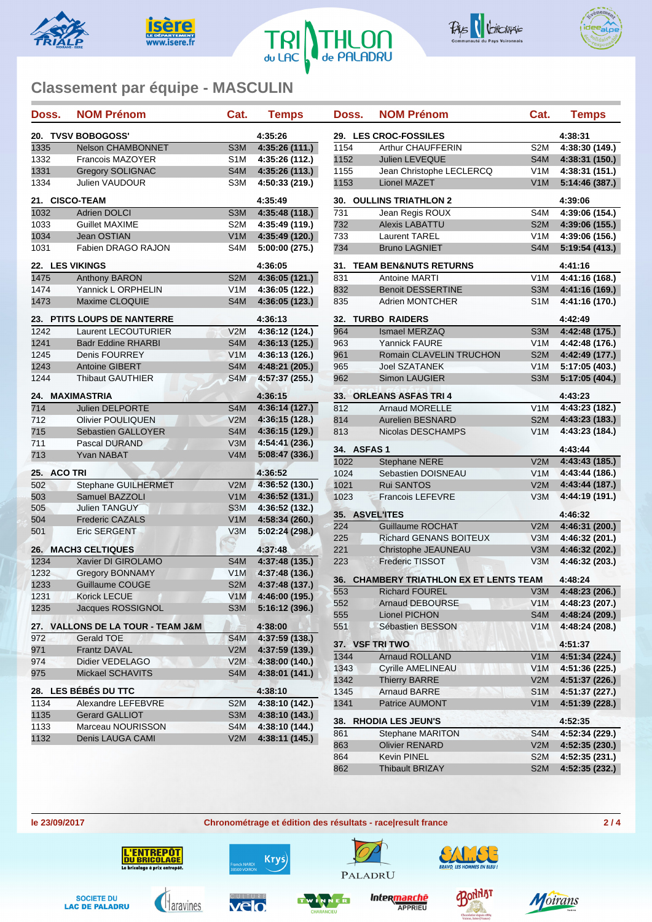









| Doss.              | <b>NOM Prénom</b>                 | Cat.                                 | <b>Temps</b>                     | Doss.                 | <b>NOM Prénom</b>                          | Cat.                                 | <b>Temps</b>                     |
|--------------------|-----------------------------------|--------------------------------------|----------------------------------|-----------------------|--------------------------------------------|--------------------------------------|----------------------------------|
| 20. TVSV BOBOGOSS' |                                   | 4:35:26                              |                                  | 29. LES CROC-FOSSILES |                                            | 4:38:31                              |                                  |
| 1335               | <b>Nelson CHAMBONNET</b>          | S <sub>3</sub> M                     | 4:35:26(111.)                    | 1154                  | <b>Arthur CHAUFFERIN</b>                   | S <sub>2</sub> M                     | 4:38:30 (149.)                   |
| 1332               | Francois MAZOYER                  | S <sub>1</sub> M                     | 4:35:26 (112.)                   | 1152                  | Julien LEVEQUE                             | S <sub>4</sub> M                     | 4:38:31 (150.)                   |
| 1331               | <b>Gregory SOLIGNAC</b>           | S <sub>4</sub> M                     | 4:35:26 (113.)                   | 1155                  | Jean Christophe LECLERCQ                   | V <sub>1</sub> M                     | 4:38:31(151.)                    |
| 1334               | <b>Julien VAUDOUR</b>             | S <sub>3</sub> M                     | 4:50:33 (219.)                   | 1153                  | Lionel MAZET                               | V1M                                  | 5:14:46 (387.)                   |
|                    | 21. CISCO-TEAM                    |                                      | 4:35:49                          |                       | <b>30. OULLINS TRIATHLON 2</b>             |                                      | 4:39:06                          |
| 1032               | <b>Adrien DOLCI</b>               | S <sub>3</sub> M                     | 4:35:48 (118.)                   | 731                   | Jean Regis ROUX                            | S <sub>4</sub> M                     | 4:39:06 (154.)                   |
| 1033               | Guillet MAXIME                    | S <sub>2</sub> M                     | 4:35:49 (119.)                   | 732                   | <b>Alexis LABATTU</b>                      | S <sub>2</sub> M                     | 4:39:06 (155.)                   |
| 1034               | Jean OSTIAN                       | V1M                                  | 4:35:49 (120.)                   | 733                   | <b>Laurent TAREL</b>                       | V <sub>1</sub> M                     | 4:39:06 (156.)                   |
| 1031               | Fabien DRAGO RAJON                | S4M                                  | 5:00:00 (275.)                   | 734                   | <b>Bruno LAGNIET</b>                       | S4M                                  | 5:19:54 (413.)                   |
|                    | 22. LES VIKINGS                   |                                      | 4:36:05                          |                       | 31. TEAM BEN&NUTS RETURNS                  |                                      | 4:41:16                          |
| 1475               | <b>Anthony BARON</b>              | S <sub>2</sub> M                     | 4:36:05(121.)                    | 831                   | Antoine MARTI                              | V <sub>1</sub> M                     | 4:41:16 (168.)                   |
| 1474               | Yannick L ORPHELIN                | V <sub>1</sub> M                     | 4:36:05 (122.)                   | 832                   | <b>Benoit DESSERTINE</b>                   | S <sub>3</sub> M                     | 4:41:16 (169.)                   |
| 1473               | Maxime CLOQUIE                    | S <sub>4</sub> M                     | 4:36:05 (123.)                   | 835                   | <b>Adrien MONTCHER</b>                     | S <sub>1</sub> M                     | 4:41:16 (170.)                   |
|                    | 23. PTITS LOUPS DE NANTERRE       |                                      | 4:36:13                          |                       | <b>32. TURBO RAIDERS</b>                   |                                      | 4:42:49                          |
| 1242               | Laurent LECOUTURIER               | V2M                                  | 4:36:12 (124.)                   | 964                   | Ismael MERZAQ                              | S <sub>3</sub> M                     | 4:42:48 (175.)                   |
| 1241               | <b>Badr Eddine RHARBI</b>         | S <sub>4</sub> M                     | 4:36:13 (125.)                   | 963                   | <b>Yannick FAURE</b>                       | V <sub>1</sub> M                     | 4:42:48 (176.)                   |
| 1245               | Denis FOURREY                     | V1M                                  | 4:36:13 (126.)                   | 961                   | Romain CLAVELIN TRUCHON                    | S <sub>2</sub> M                     | 4:42:49 (177.)                   |
| 1243               | <b>Antoine GIBERT</b>             | S4M                                  | 4:48:21 (205.)                   | 965                   | Joel SZATANEK                              | V1M                                  | 5:17:05 (403.)                   |
| 1244               | <b>Thibaut GAUTHIER</b>           | S4M                                  | 4:57:37 (255.)                   | 962                   | Simon LAUGIER                              | S <sub>3</sub> M                     | 5:17:05 (404.)                   |
| 24.                | <b>MAXIMASTRIA</b>                |                                      | 4:36:15                          |                       | 33. ORLEANS ASFAS TRI 4                    |                                      | 4:43:23                          |
| 714                | Julien DELPORTE                   | S <sub>4</sub> M                     | 4:36:14 (127.)                   | 812                   | <b>Arnaud MORELLE</b>                      | V <sub>1</sub> M                     | 4:43:23 (182.)                   |
| 712                | Olivier POULIQUEN                 | V2M                                  | 4:36:15 (128.)                   | 814                   | <b>Aurelien BESNARD</b>                    | S <sub>2</sub> M                     | 4:43:23 (183.)                   |
| 715                | Sebastien GALLOYER                | S <sub>4</sub> M                     | 4:36:15 (129.)                   | 813                   | Nicolas DESCHAMPS                          | V <sub>1</sub> M                     | 4:43:23 (184.)                   |
| 711                | Pascal DURAND                     | V3M                                  | 4:54:41 (236.)                   |                       |                                            |                                      |                                  |
| 713                | <b>Yvan NABAT</b>                 | V4M                                  | 5:08:47(336.)                    | 34. ASFAS 1<br>1022   |                                            | V2M                                  | 4:43:44                          |
| 25. ACO TRI        |                                   |                                      | 4:36:52                          | 1024                  | <b>Stephane NERE</b><br>Sebastien DOISNEAU | V <sub>1</sub> M                     | 4:43:43 (185.)<br>4:43:44 (186.) |
| 502                | Stephane GUILHERMET               | V2M                                  | 4:36:52 (130.)                   | 1021                  | <b>Rui SANTOS</b>                          | V2M                                  | 4:43:44 (187.)                   |
| 503                | Samuel BAZZOLI                    | V1M                                  | 4:36:52 (131.)                   | 1023                  | <b>Francois LEFEVRE</b>                    | V3M                                  | 4:44:19 (191.)                   |
| 505                | <b>Julien TANGUY</b>              | S <sub>3</sub> M                     | 4:36:52 (132.)                   |                       |                                            |                                      |                                  |
| 504                | <b>Frederic CAZALS</b>            | V1M                                  | 4:58:34 (260.)                   | 35. ASVEL'ITES        |                                            |                                      | 4:46:32                          |
| 501                | <b>Eric SERGENT</b>               | V3M                                  | 5:02:24 (298.)                   | 224                   | <b>Guillaume ROCHAT</b>                    | V2M                                  | 4:46:31 (200.)                   |
|                    |                                   |                                      |                                  | 225                   | <b>Richard GENANS BOITEUX</b>              | V3M                                  | 4:46:32 (201.)                   |
|                    | 26. MACH3 CELTIQUES               |                                      | 4:37:48                          | 221                   | Christophe JEAUNEAU                        | V3M                                  | 4:46:32 (202.)                   |
| 1234               | Xavier DI GIROLAMO                | S <sub>4</sub> M                     | 4:37:48 (135.)                   | 223                   | <b>Frederic TISSOT</b>                     | V3M                                  | 4:46:32 (203.)                   |
| 1232               | <b>Gregory BONNAMY</b>            | V1M                                  | 4:37:48 (136.)                   | 36.                   | <b>CHAMBERY TRIATHLON EX ET LENTS TEAM</b> |                                      | 4:48:24                          |
| 1233               | <b>Guillaume COUGE</b>            | S <sub>2</sub> M                     | 4:37:48 (137.)                   | 553                   | <b>Richard FOUREL</b>                      | V3M                                  | 4:48:23 (206.)                   |
| 1231               | Korick LECUE                      | V1M                                  | 4:46:00 (195.)                   | 552                   | <b>Arnaud DEBOURSE</b>                     | V <sub>1</sub> M                     | 4:48:23 (207.)                   |
| 1235               | Jacques ROSSIGNOL                 | S <sub>3</sub> M                     | 5:16:12 (396.)                   | 555                   | Lionel PICHON                              | S4M                                  | 4:48:24 (209.)                   |
|                    | 27. VALLONS DE LA TOUR - TEAM J&M |                                      | 4:38:00                          | 551                   | Sébastien BESSON                           | V1M                                  | 4:48:24 (208.)                   |
| 972                | Gerald TOE                        | S <sub>4</sub> M                     | 4:37:59 (138.)                   |                       |                                            |                                      |                                  |
| 971                | <b>Frantz DAVAL</b>               | V2M                                  | 4:37:59 (139.)                   |                       | 37. VSF TRI TWO                            |                                      | 4:51:37                          |
| 974                | Didier VEDELAGO                   | V2M                                  | 4:38:00 (140.)                   | 1344                  | Arnaud ROLLAND                             | V <sub>1</sub> M                     | 4:51:34 (224.)                   |
| 975                | Mickael SCHAVITS                  | S4M                                  | 4:38:01 (141.)                   | 1343                  | <b>Cyrille AMELINEAU</b>                   | V1M                                  | 4:51:36 (225.)                   |
|                    | 28. LES BÉBÉS DU TTC              |                                      | 4:38:10                          | 1342                  | <b>Thierry BARRE</b>                       | V2M                                  | 4:51:37 (226.)                   |
| 1134               | Alexandre LEFEBVRE                |                                      |                                  | 1345<br>1341          | <b>Arnaud BARRE</b><br>Patrice AUMONT      | S <sub>1</sub> M<br>V <sub>1</sub> M | 4:51:37 (227.)                   |
| 1135               | <b>Gerard GALLIOT</b>             | S <sub>2</sub> M<br>S <sub>3</sub> M | 4:38:10 (142.)<br>4:38:10 (143.) |                       |                                            |                                      | 4:51:39 (228.)                   |
| 1133               | Marceau NOURISSON                 | S4M                                  | 4:38:10 (144.)                   |                       | 38. RHODIA LES JEUN'S                      |                                      | 4:52:35                          |
| 1132               | Denis LAUGA CAMI                  | V2M                                  | 4:38:11 (145.)                   | 861                   | <b>Stephane MARITON</b>                    | S <sub>4</sub> M                     | 4:52:34 (229.)                   |
|                    |                                   |                                      |                                  | 863                   | <b>Olivier RENARD</b>                      | V2M                                  | 4:52:35 (230.)                   |
|                    |                                   |                                      |                                  | 864                   | Kevin PINEL                                | S <sub>2</sub> M                     | 4:52:35 (231.)                   |
|                    |                                   |                                      |                                  | 862                   | Thibault BRIZAY                            | S <sub>2</sub> M                     | 4:52:35 (232.)                   |



**le 23/09/2017 Chronométrage et édition des résultats - race|result france 2 / 4**

**CIEU** 







Krys)



Inter<mark>manche</mark>

PALADRU



AMSE

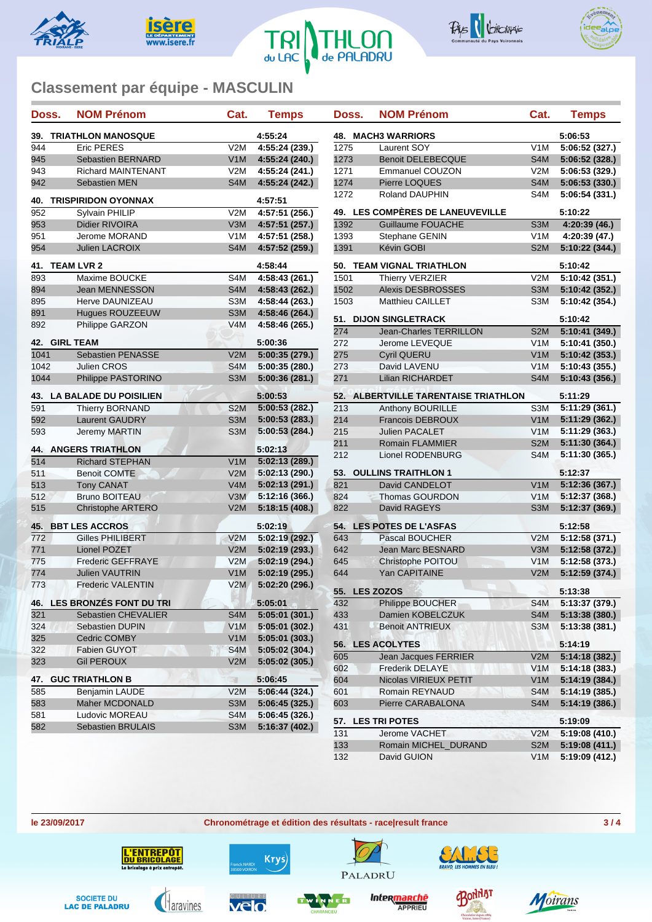









| Doss. | <b>NOM Prénom</b>                 | Cat.             | <b>Temps</b>   | Doss.      | <b>NOM Prénom</b>                     | Cat.              | <b>Temps</b>           |
|-------|-----------------------------------|------------------|----------------|------------|---------------------------------------|-------------------|------------------------|
|       | <b>39. TRIATHLON MANOSQUE</b>     |                  | 4:55:24        |            | 48. MACH3 WARRIORS                    |                   | 5:06:53                |
| 944   | <b>Eric PERES</b>                 | V2M              | 4:55:24(239.)  | 1275       | Laurent SOY                           | V1M               | 5:06:52 (32            |
| 945   | <b>Sebastien BERNARD</b>          | V1M              | 4:55:24 (240.) | 1273       | <b>Benoit DELEBECQUE</b>              | S4M               | 5:06:52 (32            |
| 943   | <b>Richard MAINTENANT</b>         | V2M              | 4:55:24(241.)  | 1271       | Emmanuel COUZON                       | V2M               | 5:06:53 (32            |
| 942   | <b>Sebastien MEN</b>              | S4M              | 4:55:24 (242.) | 1274       | Pierre LOQUES                         | S4M               | 5:06:53 (33            |
|       | <b>40. TRISPIRIDON OYONNAX</b>    |                  | 4:57:51        | 1272       | Roland DAUPHIN                        | S4M               | 5:06:54 (33            |
| 952   | Sylvain PHILIP                    | V2M              | 4:57:51(256.)  |            | 49. LES COMPÈRES DE LANEUVEVILLE      |                   | 5:10:22                |
| 953   | Didier RIVOIRA                    | V3M              | 4:57:51 (257.) | 1392       | Guillaume FOUACHE                     | S <sub>3</sub> M  | 4:20:39 (4)            |
| 951   | Jerome MORAND                     | V <sub>1</sub> M | 4:57:51 (258.) | 1393       | Stephane GENIN                        | V1M               | 4:20:39 (4)            |
| 954   | Julien LACROIX                    | S4M              | 4:57:52 (259.) | 1391       | Kévin GOBI                            | S <sub>2</sub> M  | 5:10:22 (34            |
|       | 41. TEAM LVR 2                    |                  | 4:58:44        |            | 50. TEAM VIGNAL TRIATHLON             |                   | 5:10:42                |
| 893   | Maxime BOUCKE                     | S4M              | 4:58:43 (261.) | 1501       | Thierry VERZIER                       | V2M               | 5:10:42 (35            |
| 894   | Jean MENNESSON                    | S4M              | 4:58:43 (262.) | 1502       | <b>Alexis DESBROSSES</b>              | S <sub>3</sub> M  | 5:10:42 (35            |
| 895   | Herve DAUNIZEAU                   | S3M              | 4:58:44 (263.) | 1503       | Matthieu CAILLET                      | S3M               | 5:10:42 (35            |
| 891   | Hugues ROUZEEUW                   | S <sub>3</sub> M | 4:58:46 (264.) |            |                                       |                   |                        |
| 892   | Philippe GARZON                   | V4M              | 4:58:46 (265.) |            | 51. DIJON SINGLETRACK                 |                   | 5:10:42                |
|       |                                   |                  |                | 274        | Jean-Charles TERRILLON                | S <sub>2</sub> M  | 5:10:41 (34            |
|       | 42. GIRL TEAM                     |                  | 5:00:36        | 272        | Jerome LEVEQUE                        | V1M               | 5:10:41 (35            |
| 1041  | Sebastien PENASSE                 | V2M              | 5:00:35(279.)  | 275        | <b>Cyril QUERU</b>                    | V1M               | 5:10:42 (35            |
| 1042  | Julien CROS                       | S <sub>4</sub> M | 5:00:35 (280.) | 273        | David LAVENU                          | V <sub>1</sub> M  | 5:10:43 (35            |
| 1044  | Philippe PASTORINO                | S3M              | 5:00:36(281.)  | 271        | <b>Lilian RICHARDET</b>               | S <sub>4</sub> M  | 5:10:43 (35            |
|       | <b>43. LA BALADE DU POISILIEN</b> |                  | 5:00:53        |            | 52. ALBERTVILLE TARENTAISE TRIATHLON  |                   | 5:11:29                |
| 591   | Thierry BORNAND                   | S <sub>2</sub> M | 5:00:53(282.)  | 213        | Anthony BOURILLE                      | S3M               | 5:11:29 (36            |
| 592   | Laurent GAUDRY                    | S <sub>3</sub> M | 5:00:53(283.)  | 214        | Francois DEBROUX                      | V1M               | 5:11:29 (36            |
| 593   | <b>Jeremy MARTIN</b>              | S <sub>3</sub> M | 5:00:53 (284.) | 215        | <b>Julien PACALET</b>                 | V <sub>1</sub> M  | 5:11:29 (36            |
|       |                                   |                  |                | 211        | Romain FLAMMIER                       | S <sub>2</sub> M  | 5:11:30 (36            |
|       | <b>44. ANGERS TRIATHLON</b>       |                  | 5:02:13        | 212        | Lionel RODENBURG                      | S4M               | 5:11:30 (36            |
| 514   | <b>Richard STEPHAN</b>            | V1M              | 5:02:13(289.)  |            |                                       |                   |                        |
| 511   | <b>Benoit COMTE</b>               | V2M              | 5:02:13 (290.) |            | 53. OULLINS TRAITHLON 1               |                   | 5:12:37                |
| 513   | <b>Tony CANAT</b>                 | V4M              | 5:02:13(291.)  | 821        | David CANDELOT                        | V1M               | 5:12:36 (36            |
| 512   | <b>Bruno BOITEAU</b>              | V3M              | 5:12:16 (366.) | 824        | <b>Thomas GOURDON</b>                 | V <sub>1</sub> M  | 5:12:37 (36            |
| 515   | <b>Christophe ARTERO</b>          | V2M              | 5:18:15(408.)  | 822        | David RAGEYS                          | S <sub>3</sub> M  | 5:12:37 (36            |
|       | 45. BBT LES ACCROS                |                  | 5:02:19        |            | 54. LES POTES DE L'ASFAS              |                   | 5:12:58                |
| 772   | <b>Gilles PHILIBERT</b>           | V2M              | 5:02:19 (292.) | 643        | Pascal BOUCHER                        | V2M               | 5:12:58 (37            |
| 771   | Lionel POZET                      | V2M              | 5:02:19(293.)  | 642        | Jean Marc BESNARD                     | V3M               | 5:12:58 (37            |
| 775   | <b>Frederic GEFFRAYE</b>          | V2M              | 5:02:19 (294.) | 645        | Christophe POITOU                     | V <sub>1</sub> M  | 5:12:58 (37            |
| 774   | <b>Julien VAUTRIN</b>             | V1M              | 5:02:19 (295.) | 644        | Yan CAPITAINE                         | V2M               | 5:12:59 (37            |
| 773   | <b>Frederic VALENTIN</b>          | V2M              | 5:02:20 (296.) |            | 55. LES ZOZOS                         |                   | 5:13:38                |
|       | 46. LES BRONZÉS FONT DU TRI       |                  | 5:05:01        | 432        | Philippe BOUCHER                      | S4M               | 5:13:37 (37            |
| 321   | Sebastien CHEVALIER               | S4M              | 5:05:01(301.)  | 433        | Damien KOBELCZUK                      | S4M               | 5:13:38 (38            |
| 324   | Sebastien DUPIN                   | V1M              | 5:05:01 (302.) | 431        | <b>Benoit ANTRIEUX</b>                | S <sub>3</sub> M  | 5:13:38 (38            |
| 325   | Cedric COMBY                      | V1M              | 5:05:01(303.)  |            |                                       |                   |                        |
| 322   | Fabien GUYOT                      | S <sub>4</sub> M | 5:05:02(304.)  |            | 56. LES ACOLYTES                      |                   | 5:14:19                |
| 323   | <b>Gil PEROUX</b>                 | V2M              | 5:05:02(305.)  | 605        | Jean Jacques FERRIER                  | V2M               | 5:14:18 (38            |
|       |                                   |                  |                | 602        | <b>Frederik DELAYE</b>                | V <sub>1</sub> M  | 5:14:18 (38            |
|       | <b>47. GUC TRIATHLON B</b>        | $\mathbb{R}^n$   | 5:06:45        | 604        | Nicolas VIRIEUX PETIT                 | V <sub>1</sub> M  | 5:14:19 (38            |
| 585   | Benjamin LAUDE                    | V2M              | 5:06:44(324.)  | 601        | Romain REYNAUD                        | S <sub>4</sub> M  | 5:14:19 (38            |
| 583   | Maher MCDONALD                    | S <sub>3</sub> M | 5:06:45(325)   | 603        | Pierre CARABALONA                     | S4M               | 5:14:19 (38            |
| 581   | Ludovic MOREAU                    | S4M              | 5:06:45(326.)  |            |                                       |                   |                        |
| 582   | Sebastien BRULAIS                 | S3M              | 5:16:37 (402.) |            | 57. LES TRI POTES                     |                   | 5:19:09<br>5:19:08 (41 |
|       |                                   |                  |                | 131<br>133 | Jerome VACHET<br>Romain MICHEL DURAND | V2M<br><b>SOM</b> | 5.10.08(11)            |

| Doss.           | NOM Prénom                              | Cat.             | <b>Temps</b>   |
|-----------------|-----------------------------------------|------------------|----------------|
| 48.             | <b>MACH3 WARRIORS</b>                   |                  | 5:06:53        |
| 1275            | Laurent SOY                             | V1M              | 5:06:52(327.)  |
| 1273            | <b>Benoit DELEBECQUE</b>                | S4M              | 5:06:52(328.)  |
| 1271            | <b>Emmanuel COUZON</b>                  | V2M              | 5:06:53 (329.) |
| 1274            | Pierre LOQUES                           | S4M              | 5:06:53(330.)  |
| 1272            | <b>Roland DAUPHIN</b>                   | S4M              | 5:06:54 (331.) |
|                 | 49. LES COMPÈRES DE LANEUVEVILLE        |                  | 5:10:22        |
| 1392            | <b>Guillaume FOUACHE</b>                | S3M              | 4:20:39 (46.)  |
| 1393            | Stephane GENIN                          | V1M              | 4:20:39 (47.)  |
| 1391            | Kévin GOBI                              | S <sub>2</sub> M | 5:10:22 (344.) |
| 50.             | <b>TEAM VIGNAL TRIATHLON</b>            |                  | 5:10:42        |
| 1501            | Thierry VERZIER                         | V2M              | 5:10:42 (351.) |
| 1502            | <b>Alexis DESBROSSES</b>                | S3M              | 5:10:42 (352.) |
| 1503            | <b>Matthieu CAILLET</b>                 | S3M              | 5:10:42 (354.) |
| 51.             | <b>DIJON SINGLETRACK</b>                |                  | 5:10:42        |
| $\frac{1}{274}$ | Jean-Charles TERRILLON                  | S <sub>2</sub> M | 5:10:41(349.)  |
| 272             | Jerome LEVEQUE                          | V1M              | 5:10:41 (350.) |
| 275             | <b>Cyril QUERU</b>                      | V <sub>1</sub> M | 5:10:42(353.)  |
| 273             | David LAVENU                            | V1M              | 5:10:43 (355.) |
| 271             | <b>Lilian RICHARDET</b>                 | S4M              | 5:10:43 (356.) |
| 52.             | <b>ALBERTVILLE TARENTAISE TRIATHLON</b> |                  | 5:11:29        |
| 213             | Anthony BOURILLE                        | S3M              | 5:11:29 (361.) |
| 214             | <b>Francois DEBROUX</b>                 | V1M              | 5:11:29 (362.) |
| 215             | <b>Julien PACALET</b>                   | V <sub>1</sub> M | 5:11:29 (363.) |
| 211             | <b>Romain FLAMMIER</b>                  | S2M              | 5:11:30 (364.) |
| 212             | Lionel RODENBURG                        | S4M              | 5:11:30 (365.) |
| 53.             | <b>OULLINS TRAITHLON 1</b>              |                  | 5:12:37        |
| 821             | David CANDELOT                          | V1M              | 5:12:36 (367.) |
| 824             | Thomas GOURDON                          | V <sub>1</sub> M | 5:12:37 (368.) |
|                 | David RAGEYS                            | S <sub>3</sub> M | 5:12:37 (369.) |
| 822             |                                         |                  |                |
| 54.             | <b>LES POTES DE L'ASFAS</b>             |                  | 5:12:58        |
| 643             | Pascal BOUCHER                          | V2M              | 5:12:58 (371.) |
| 642             | <b>Jean Marc BESNARD</b>                | V3M              | 5:12:58 (372.) |
| 645             | Christophe POITOU                       | V <sub>1</sub> M | 5:12:58 (373.) |
| 644             | Yan CAPITAINE                           | V2M              | 5:12:59 (374.) |
| 55.             | <b>LES ZOZOS</b>                        |                  | 5:13:38        |
| 432             | Philippe BOUCHER                        | S4M              | 5:13:37 (379.) |
| 433             | Damien KOBELCZUK                        | S4M              | 5:13:38 (380.) |
| 431             | <b>Benoit ANTRIEUX</b>                  | S3M              | 5:13:38 (381.) |
| 56.             | <b>LES ACOLYTES</b>                     |                  | 5:14:19        |
| 605             | Jean Jacques FERRIER                    | V2M              | 5:14:18 (382.) |
| 602             | <b>Frederik DELAYE</b>                  | V1M              | 5:14:18 (383.) |
| 604             | Nicolas VIRIEUX PETIT                   | V <sub>1</sub> M | 5:14:19 (384.) |
| 601             | Romain REYNAUD                          | S4M              | 5:14:19 (385.) |
| 603             | Pierre CARABALONA                       | S4M              | 5:14:19 (386.) |
| 57.             | <b>LES TRI POTES</b>                    |                  | 5:19:09        |
|                 | Jerome VACHET                           | V2M              | 5:19:08 (410.) |
| 131             |                                         |                  |                |
| 133             | Romain MICHEL_DURAND                    | S <sub>2</sub> M | 5:19:08 (411.) |
| 132             | David GUION                             | V <sub>1</sub> M | 5:19:09 (412.) |